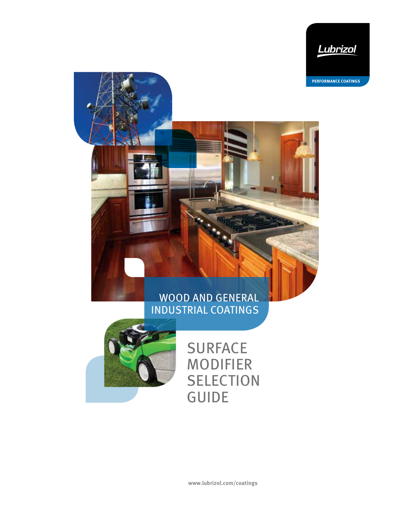

**PERFORMANCE COATINGS**

# WOOD AND GENERAL INDUSTRIAL COATINGS



# **SURFACE** MODIFIER **SELECTION** GUIDE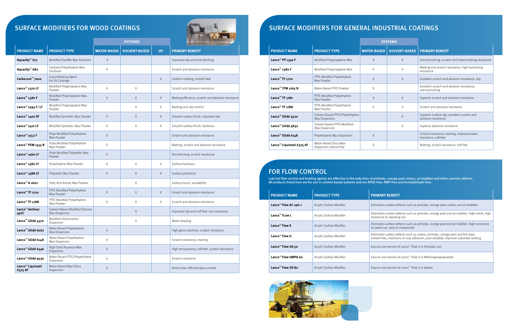# SURFACE MODIFIERS FOR WOOD COATINGS



|                                         |                                                   |                    | <b>SYSTEMS</b>       |           |                                                     |  |  |  |  |
|-----------------------------------------|---------------------------------------------------|--------------------|----------------------|-----------|-----------------------------------------------------|--|--|--|--|
| <b>PRODUCT NAME</b>                     | <b>PRODUCT TYPE</b>                               | <b>WATER-BASED</b> | <b>SOLVENT-BASED</b> | <b>UV</b> | <b>PRIMARY BENEFIT</b>                              |  |  |  |  |
| Aquaslip <sup>™</sup> 677               | Modified Paraffin Wax Emulsion                    | X                  |                      |           | Improved slip and anti-blocking                     |  |  |  |  |
| Aquaslip <sup>™</sup> 682               | Oxidized Polyethylene Wax<br>Emulsion             | X                  |                      |           | Scratch and abrasion resistance                     |  |  |  |  |
| Carbocure <sup>™</sup> 7000             | Liquid Matting Agent<br>for UV Coatings           |                    |                      | X         | Uniform matting, smooth feel                        |  |  |  |  |
| Lanco <sup>™</sup> 1370 LF              | Modified Polypropylene Wax<br>Powder              | X                  | X                    |           | Scratch and abrasion resistance                     |  |  |  |  |
| Lanco <sup>™</sup> 1380 F               | Modified Polypropylene Wax<br>Powder              | $\times$           | $\times$             | X         | Matting efficiency, scratch and abrasion resistance |  |  |  |  |
| Lanco <sup>™</sup> 1394 F/LF            | Modified Polypropylene Wax<br>Powder              |                    | X                    | Χ         | Matting and slip control                            |  |  |  |  |
| Lanco <sup>™</sup> 1400 SF              | Modified Synthetic Wax Powder                     | X                  | X                    | X         | Smooth surface finish, improved slip                |  |  |  |  |
| Lanco <sup>™</sup> 1410 LF              | Modified Synthetic Wax Powder                     | Χ                  | Χ                    | Χ         | Smooth surface finish, hardness                     |  |  |  |  |
| Lanco <sup>™</sup> 1552 F               | Polar Modified Polyethylene<br>Wax Powder         | X                  |                      |           | Scratch and abrasion resistance                     |  |  |  |  |
| Lanco <sup>™</sup> PEW 1555 N           | Polar Modified Polyethylene<br>Wax Powder         | X                  |                      |           | Matting, scratch and abrasion resistance            |  |  |  |  |
| Lanco <sup>™</sup> 1560 LF              | Polar Modified Polyolefin Wax<br>Powder           | X                  |                      |           | Anti-blocking, scratch resistance                   |  |  |  |  |
| Lanco <sup>™</sup> 1580 LF              | Polyethylene Wax Powder                           | Χ                  | X                    | X         | Surface hardness                                    |  |  |  |  |
| Lanco <sup>™</sup> 1588 LF              | Polyolefin Wax Powder                             | X                  | X                    | X         | Surface protection                                  |  |  |  |  |
| Lanco <sup>™</sup> A 1602               | Fatty Acid Amide Wax Powder                       |                    | X                    |           | Surface touch, sandability                          |  |  |  |  |
| Lanco <sup>™</sup> TF 1720              | PTFE-Modified Polyethylene<br>Wax Powder          | $\times$           | $\times$             | X         | Scratch and abrasion resistance                     |  |  |  |  |
| Lanco <sup>™</sup> TF 1788              | PTFE-Modified Polyethylene<br>Wax Powder          | X                  | X                    | X         | Scratch and abrasion resistance                     |  |  |  |  |
| Lanco <sup>™</sup> Antimar<br>45oC      | Solvent-Based Modified Silicone<br>Wax Dispersion |                    | X                    |           | Improved slip and soft feel, mar resistance         |  |  |  |  |
| Lanco <sup>™</sup> Glidd 4370           | Modified Hydrocarbon<br>Dispersion                |                    | Χ                    |           | Water beading                                       |  |  |  |  |
| Lanco <sup>™</sup> Glidd 6067           | Water-Based Polyethylene<br>Wax Dispersion        | X                  |                      |           | High gloss retention, scratch resistance            |  |  |  |  |
| Lanco <sup>™</sup> Glidd 6148           | Water-Based Polyethylene<br>Wax Dispersion        | X                  |                      |           | Scratch resistance, matting                         |  |  |  |  |
| Lanco <sup>™</sup> Glidd 6546           | High-Solid Aqueous Wax<br>Dispersion              | Χ                  |                      |           | High transparency, soft feel, scratch resistance    |  |  |  |  |
| Lanco <sup>™</sup> Glidd 9530           | Water-Based PTFE/Polyethylene<br>Dispersion       | X                  |                      |           | Scratch resistance                                  |  |  |  |  |
| Lanco <sup>™</sup> Liquimatt<br>6375 AF | Water-Based Wax/Silica<br>Dispersion              | X                  |                      |           | Amine-free, efficient gloss control                 |  |  |  |  |

Lliminates surface defects such as pinholes, orange peel and air bubbles. High solids, high resistance to sweating out.

**Lanco™ Flow S** Acrylic Surface Modifier Eliminates surface defects such as pinholes, orange peel and air bubbles. High resistance to sweat out, easy to incorporate.

**Liminates surface defects such as craters, pinholes, orange peel and fish-eyes;** solvent-free, maintains re-coat adhesion, post-addable, improves substrate wetting.

**Lasy-to-use version of Lanco™ Flow U in Aromatic 100** 

**Lasy-to-use version of Lanco™ Flow U in Methoxypropylacetate** 

Lasy-to-use version of Lanco<sup>™</sup> Flow U in Xylene

|                                      |                                                          |                    | <b>SYSTEMS</b>       |                                                                      |
|--------------------------------------|----------------------------------------------------------|--------------------|----------------------|----------------------------------------------------------------------|
| <b>PRODUCT NAME</b>                  | <b>PRODUCT TYPE</b>                                      | <b>WATER-BASED</b> | <b>SOLVENT-BASED</b> | <b>PRIMARY BENEFIT</b>                                               |
| Lanco <sup>™</sup> PP 1350 F         | Modified Polypropylene Wax                               | X                  | $\times$             | Anti-burnishing, scratch and metal marking resistance                |
| Lanco <sup>™</sup> 1380 F            | Modified Polypropylene Wax                               | X                  | $\times$             | Matting and scratch resistance, high burnishing<br>resistance        |
| Lanco <sup>™</sup> TF 1720           | PTFE-Modified Polyethylene<br>Wax Powder                 | X                  | X                    | Excellent scratch and abrasion resistance, slip                      |
| Lanco <sup>™</sup> TFW 1765 N        | Water-Based PTFE Powder                                  | X                  |                      | Excellent scratch and abrasion resistance,<br>anti-burnishing        |
| Lanco <sup>™</sup> TF 1780           | PTFE-Modified Polyethylene<br>Wax Powder                 | $\times$           | $\times$             | Superior scratch and abrasion resistance                             |
| Lanco <sup>™</sup> TF 1788           | PTFE-Modified Polyethylene<br>Wax Powder                 | X                  | X                    | Scratch and abrasion resistance                                      |
| Lanco <sup>™</sup> Glidd 3520        | Solvent-Based PTFE/Polyethylene<br><b>Wax Dispersion</b> |                    | $\times$             | Superior surface slip, excellent scratch and<br>abrasion resistance  |
| Lanco <sup>™</sup> Glidd 4832        | Solvent-Based PTFE-Modified<br>Wax Dispersion            |                    | X                    | Superior abrasion resistance                                         |
| Lanco <sup>™</sup> Glidd 6148        | Polyethylene Wax Dispersion                              | $\times$           |                      | Scratch resistance, matting, improved water<br>resistance, soft feel |
| Lanco <sup>™</sup> Liquimatt 6375 AF | Water-Based Silica Wax<br>Dispersion, Amine-free         | X                  |                      | Matting, scratch resistance, soft feel                               |

# SURFACE MODIFIERS FOR GENERAL INDUSTRIAL COATINGS

#### FOR FLOW CONTROL

Lubrizol flow control and leveling agents are effective in the reduction of pinholes, orange peel craters, air bubbles and other common defects. All products listed here are for use in solvent-based systems and are APEO-free, NMP-free and formaldehyde-free.

| <b>PRODUCT NAME</b>              | <b>PRODUCT TYPE</b>      | F      |
|----------------------------------|--------------------------|--------|
| Lanco <sup>™</sup> Flow AC 196-1 | Acrylic Surface Modifier | F      |
| Lanco <sup>™</sup> FLow L        | Acrylic Surface Modifier | E<br>r |
| Lanco <sup>™</sup> Flow S        | Acrylic Surface Modifier | E<br>t |
| Lanco™ Flow U                    | Acrylic Surface Modifier | E<br>S |
| Lanco <sup>™</sup> Flow UA 50    | Acrylic Surface Modifier | F      |
| Lanco™ Flow UMPA 6o              | Acrylic Surface Modifier | Е      |
| Lanco™ Flow UX 8o                | Acrylic Surface Modifier | F      |



#### **PRIMARY BENEFIT**

**Liminates surface defects such as pinholes, orange peel, craters and air bubbles.**